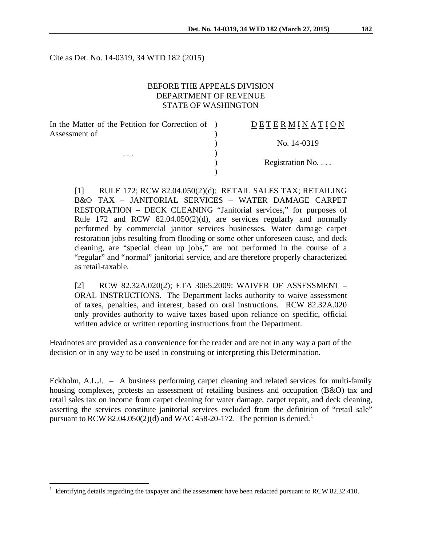Cite as Det. No. 14-0319, 34 WTD 182 (2015)

# BEFORE THE APPEALS DIVISION DEPARTMENT OF REVENUE STATE OF WASHINGTON

| In the Matter of the Petition for Correction of ) | DETERMINATION   |
|---------------------------------------------------|-----------------|
| Assessment of                                     |                 |
|                                                   | No. 14-0319     |
| .                                                 |                 |
|                                                   | Registration No |
|                                                   |                 |

[1] RULE 172; RCW 82.04.050(2)(d): RETAIL SALES TAX; RETAILING B&O TAX – JANITORIAL SERVICES – WATER DAMAGE CARPET RESTORATION – DECK CLEANING "Janitorial services," for purposes of Rule 172 and RCW 82.04.050(2)(d), are services regularly and normally performed by commercial janitor services businesses. Water damage carpet restoration jobs resulting from flooding or some other unforeseen cause, and deck cleaning, are "special clean up jobs," are not performed in the course of a "regular" and "normal" janitorial service, and are therefore properly characterized as retail-taxable.

[2] RCW 82.32A.020(2); ETA 3065.2009: WAIVER OF ASSESSMENT – ORAL INSTRUCTIONS. The Department lacks authority to waive assessment of taxes, penalties, and interest, based on oral instructions. RCW 82.32A.020 only provides authority to waive taxes based upon reliance on specific, official written advice or written reporting instructions from the Department.

Headnotes are provided as a convenience for the reader and are not in any way a part of the decision or in any way to be used in construing or interpreting this Determination.

Eckholm, A.L.J. – A business performing carpet cleaning and related services for multi-family housing complexes, protests an assessment of retailing business and occupation (B&O) tax and retail sales tax on income from carpet cleaning for water damage, carpet repair, and deck cleaning, asserting the services constitute janitorial services excluded from the definition of "retail sale" pursuant to RCW 82.04.050(2)(d) and WAC 458-20-[1](#page-0-0)72. The petition is denied.<sup>1</sup>

 $\overline{a}$ 

<span id="page-0-0"></span><sup>1</sup> Identifying details regarding the taxpayer and the assessment have been redacted pursuant to RCW 82.32.410.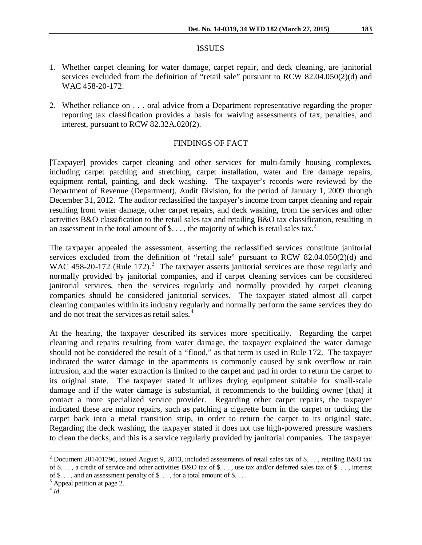#### ISSUES

- 1. Whether carpet cleaning for water damage, carpet repair, and deck cleaning, are janitorial services excluded from the definition of "retail sale" pursuant to RCW 82.04.050(2)(d) and WAC 458-20-172.
- 2. Whether reliance on . . . oral advice from a Department representative regarding the proper reporting tax classification provides a basis for waiving assessments of tax, penalties, and interest, pursuant to RCW 82.32A.020(2).

### FINDINGS OF FACT

[Taxpayer] provides carpet cleaning and other services for multi-family housing complexes, including carpet patching and stretching, carpet installation, water and fire damage repairs, equipment rental, painting, and deck washing. The taxpayer's records were reviewed by the Department of Revenue (Department), Audit Division, for the period of January 1, 2009 through December 31, 2012. The auditor reclassified the taxpayer's income from carpet cleaning and repair resulting from water damage, other carpet repairs, and deck washing, from the services and other activities B&O classification to the retail sales tax and retailing B&O tax classification, resulting in an assessment in the total amount of \$..., the majority of which is retail sales tax.<sup>[2](#page-1-0)</sup>

The taxpayer appealed the assessment, asserting the reclassified services constitute janitorial services excluded from the definition of "retail sale" pursuant to RCW 82.04.050(2)(d) and WAC 458-20-172 (Rule 172).<sup>[3](#page-1-1)</sup> The taxpayer asserts janitorial services are those regularly and normally provided by janitorial companies, and if carpet cleaning services can be considered janitorial services, then the services regularly and normally provided by carpet cleaning companies should be considered janitorial services. The taxpayer stated almost all carpet cleaning companies within its industry regularly and normally perform the same services they do and do not treat the services as retail sales.<sup>[4](#page-1-2)</sup>

At the hearing, the taxpayer described its services more specifically. Regarding the carpet cleaning and repairs resulting from water damage, the taxpayer explained the water damage should not be considered the result of a "flood," as that term is used in Rule 172. The taxpayer indicated the water damage in the apartments is commonly caused by sink overflow or rain intrusion, and the water extraction is limited to the carpet and pad in order to return the carpet to its original state. The taxpayer stated it utilizes drying equipment suitable for small-scale damage and if the water damage is substantial, it recommends to the building owner [that] it contact a more specialized service provider. Regarding other carpet repairs, the taxpayer indicated these are minor repairs, such as patching a cigarette burn in the carpet or tucking the carpet back into a metal transition strip, in order to return the carpet to its original state. Regarding the deck washing, the taxpayer stated it does not use high-powered pressure washers to clean the decks, and this is a service regularly provided by janitorial companies. The taxpayer

 $\overline{\phantom{a}}$ 

<span id="page-1-0"></span><sup>&</sup>lt;sup>2</sup> Document 201401796, issued August 9, 2013, included assessments of retail sales tax of \$. . . , retailing B&O tax of \$. . . , a credit of service and other activities B&O tax of \$. . . , use tax and/or deferred sales tax of \$. . . , interest of  $\$\dots$$ , and an assessment penalty of  $\$\dots$$ , for a total amount of  $\$\dots$ .

<span id="page-1-1"></span> $\frac{3}{4}$  Appeal petition at page 2.  $\frac{4}{1}$ 

<span id="page-1-2"></span>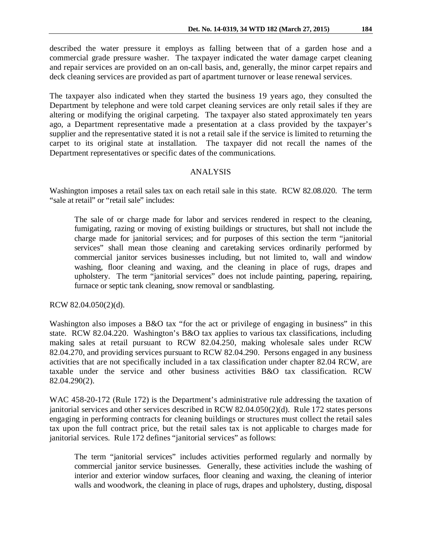described the water pressure it employs as falling between that of a garden hose and a commercial grade pressure washer. The taxpayer indicated the water damage carpet cleaning and repair services are provided on an on-call basis, and, generally, the minor carpet repairs and deck cleaning services are provided as part of apartment turnover or lease renewal services.

The taxpayer also indicated when they started the business 19 years ago, they consulted the Department by telephone and were told carpet cleaning services are only retail sales if they are altering or modifying the original carpeting. The taxpayer also stated approximately ten years ago, a Department representative made a presentation at a class provided by the taxpayer's supplier and the representative stated it is not a retail sale if the service is limited to returning the carpet to its original state at installation. The taxpayer did not recall the names of the Department representatives or specific dates of the communications.

# ANALYSIS

Washington imposes a retail sales tax on each retail sale in this state. RCW 82.08.020. The term "sale at retail" or "retail sale" includes:

The sale of or charge made for labor and services rendered in respect to the cleaning, fumigating, razing or moving of existing buildings or structures, but shall not include the charge made for janitorial services; and for purposes of this section the term "janitorial services" shall mean those cleaning and caretaking services ordinarily performed by commercial janitor services businesses including, but not limited to, wall and window washing, floor cleaning and waxing, and the cleaning in place of rugs, drapes and upholstery. The term "janitorial services" does not include painting, papering, repairing, furnace or septic tank cleaning, snow removal or sandblasting.

RCW 82.04.050(2)(d).

Washington also imposes a B&O tax "for the act or privilege of engaging in business" in this state. RCW 82.04.220. Washington's B&O tax applies to various tax classifications, including making sales at retail pursuant to RCW 82.04.250, making wholesale sales under RCW 82.04.270, and providing services pursuant to RCW 82.04.290. Persons engaged in any business activities that are not specifically included in a tax classification under chapter 82.04 RCW, are taxable under the service and other business activities B&O tax classification. RCW 82.04.290(2).

WAC 458-20-172 (Rule 172) is the Department's administrative rule addressing the taxation of janitorial services and other services described in RCW 82.04.050(2)(d). Rule 172 states persons engaging in performing contracts for cleaning buildings or structures must collect the retail sales tax upon the full contract price, but the retail sales tax is not applicable to charges made for janitorial services. Rule 172 defines "janitorial services" as follows:

The term "janitorial services" includes activities performed regularly and normally by commercial janitor service businesses. Generally, these activities include the washing of interior and exterior window surfaces, floor cleaning and waxing, the cleaning of interior walls and woodwork, the cleaning in place of rugs, drapes and upholstery, dusting, disposal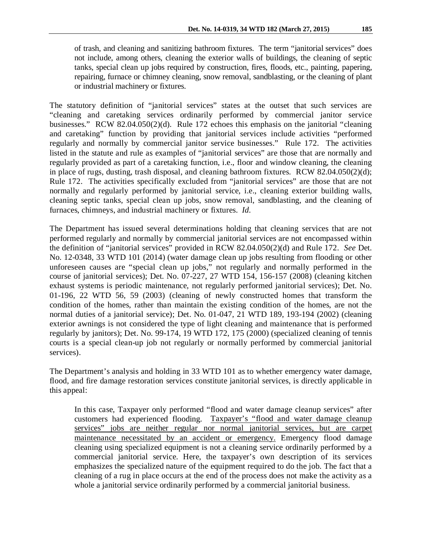of trash, and cleaning and sanitizing bathroom fixtures. The term "janitorial services" does not include, among others, cleaning the exterior walls of buildings, the cleaning of septic tanks, special clean up jobs required by construction, fires, floods, etc., painting, papering, repairing, furnace or chimney cleaning, snow removal, sandblasting, or the cleaning of plant or industrial machinery or fixtures.

The statutory definition of "janitorial services" states at the outset that such services are "cleaning and caretaking services ordinarily performed by commercial janitor service businesses." RCW 82.04.050(2)(d). Rule 172 echoes this emphasis on the janitorial "cleaning and caretaking" function by providing that janitorial services include activities "performed regularly and normally by commercial janitor service businesses." Rule 172. The activities listed in the statute and rule as examples of "janitorial services" are those that are normally and regularly provided as part of a caretaking function, i.e., floor and window cleaning, the cleaning in place of rugs, dusting, trash disposal, and cleaning bathroom fixtures. RCW 82.04.050(2)(d); Rule 172. The activities specifically excluded from "janitorial services" are those that are not normally and regularly performed by janitorial service, i.e., cleaning exterior building walls, cleaning septic tanks, special clean up jobs, snow removal, sandblasting, and the cleaning of furnaces, chimneys, and industrial machinery or fixtures. *Id.* 

The Department has issued several determinations holding that cleaning services that are not performed regularly and normally by commercial janitorial services are not encompassed within the definition of "janitorial services" provided in RCW 82.04.050(2)(d) and Rule 172. *See* Det. No. 12-0348, 33 WTD 101 (2014) (water damage clean up jobs resulting from flooding or other unforeseen causes are "special clean up jobs," not regularly and normally performed in the course of janitorial services); Det. No. 07-227, 27 WTD 154, 156-157 (2008) (cleaning kitchen exhaust systems is periodic maintenance, not regularly performed janitorial services); Det. No. 01-196, 22 WTD 56, 59 (2003) (cleaning of newly constructed homes that transform the condition of the homes, rather than maintain the existing condition of the homes, are not the normal duties of a janitorial service); Det. No. 01-047, 21 WTD 189, 193-194 (2002) (cleaning exterior awnings is not considered the type of light cleaning and maintenance that is performed regularly by janitors); Det. No. 99-174, 19 WTD 172, 175 (2000) (specialized cleaning of tennis courts is a special clean-up job not regularly or normally performed by commercial janitorial services).

The Department's analysis and holding in 33 WTD 101 as to whether emergency water damage, flood, and fire damage restoration services constitute janitorial services, is directly applicable in this appeal:

In this case, Taxpayer only performed "flood and water damage cleanup services" after customers had experienced flooding. Taxpayer's "flood and water damage cleanup services" jobs are neither regular nor normal janitorial services, but are carpet maintenance necessitated by an accident or emergency. Emergency flood damage cleaning using specialized equipment is not a cleaning service ordinarily performed by a commercial janitorial service. Here, the taxpayer's own description of its services emphasizes the specialized nature of the equipment required to do the job. The fact that a cleaning of a rug in place occurs at the end of the process does not make the activity as a whole a janitorial service ordinarily performed by a commercial janitorial business.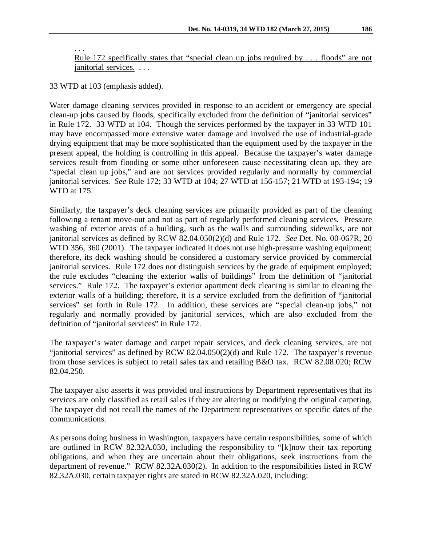Rule 172 specifically states that "special clean up jobs required by . . . floods" are not janitorial services. . . .

33 WTD at 103 (emphasis added).

. . .

Water damage cleaning services provided in response to an accident or emergency are special clean-up jobs caused by floods, specifically excluded from the definition of "janitorial services" in Rule 172. 33 WTD at 104. Though the services performed by the taxpayer in 33 WTD 101 may have encompassed more extensive water damage and involved the use of industrial-grade drying equipment that may be more sophisticated than the equipment used by the taxpayer in the present appeal, the holding is controlling in this appeal. Because the taxpayer's water damage services result from flooding or some other unforeseen cause necessitating clean up, they are "special clean up jobs," and are not services provided regularly and normally by commercial janitorial services. *See* Rule 172; 33 WTD at 104; 27 WTD at 156-157; 21 WTD at 193-194; 19 WTD at 175.

Similarly, the taxpayer's deck cleaning services are primarily provided as part of the cleaning following a tenant move-out and not as part of regularly performed cleaning services. Pressure washing of exterior areas of a building, such as the walls and surrounding sidewalks, are not janitorial services as defined by RCW 82.04.050(2)(d) and Rule 172. *See* Det. No. 00-067R, 20 WTD 356, 360 (2001). The taxpayer indicated it does not use high-pressure washing equipment; therefore, its deck washing should be considered a customary service provided by commercial janitorial services. Rule 172 does not distinguish services by the grade of equipment employed; the rule excludes "cleaning the exterior walls of buildings" from the definition of "janitorial services." Rule 172. The taxpayer's exterior apartment deck cleaning is similar to cleaning the exterior walls of a building; therefore, it is a service excluded from the definition of "janitorial services" set forth in Rule 172. In addition, these services are "special clean-up jobs," not regularly and normally provided by janitorial services, which are also excluded from the definition of "janitorial services" in Rule 172.

The taxpayer's water damage and carpet repair services, and deck cleaning services, are not "janitorial services" as defined by RCW 82.04.050(2)(d) and Rule 172. The taxpayer's revenue from those services is subject to retail sales tax and retailing B&O tax. RCW 82.08.020; RCW 82.04.250.

The taxpayer also asserts it was provided oral instructions by Department representatives that its services are only classified as retail sales if they are altering or modifying the original carpeting. The taxpayer did not recall the names of the Department representatives or specific dates of the communications.

As persons doing business in Washington, taxpayers have certain responsibilities, some of which are outlined in RCW 82.32A.030, including the responsibility to "[k]now their tax reporting obligations, and when they are uncertain about their obligations, seek instructions from the department of revenue." RCW 82.32A.030(2). In addition to the responsibilities listed in RCW 82.32A.030, certain taxpayer rights are stated in RCW 82.32A.020, including: